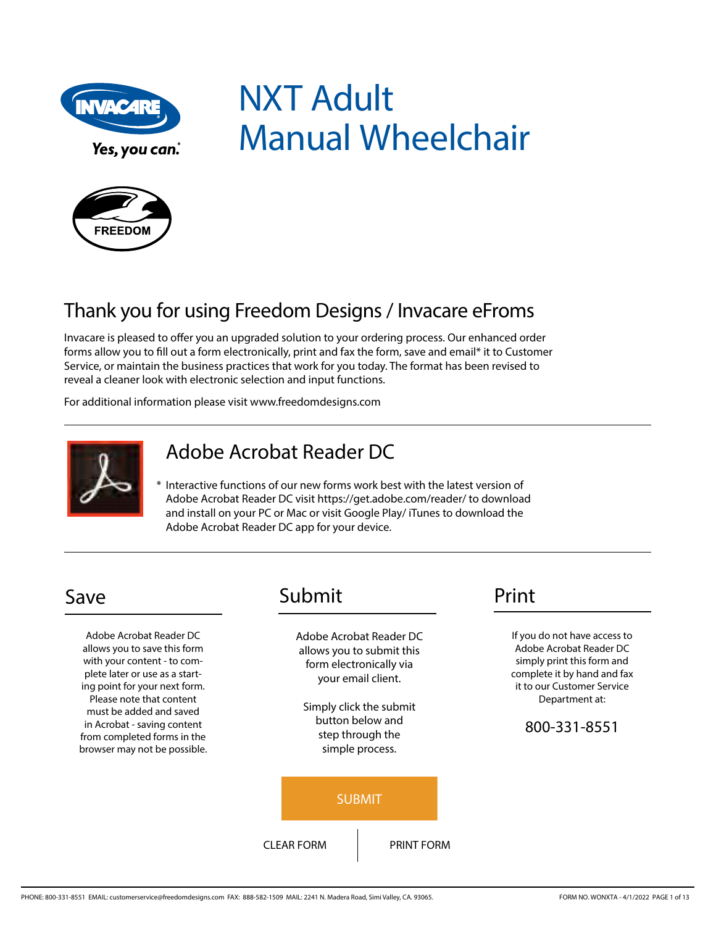

NXT Adult Manual Wheelchair



# Thank you for using Freedom Designs / Invacare eFroms

Invacare is pleased to offer you an upgraded solution to your ordering process. Our enhanced order forms allow you to fill out a form electronically, print and fax the form, save and email\* it to Customer Service, or maintain the business practices that work for you today. The format has been revised to reveal a cleaner look with electronic selection and input functions.

For additional information please visit www.freedomdesigns.com



## Adobe Acrobat Reader DC

\* Interactive functions of our new forms work best with the latest version of Adobe Acrobat Reader DC visit https://get.adobe.com/reader/ to download and install on your PC or Mac or visit Google Play/ iTunes to download the Adobe Acrobat Reader DC app for your device.

Adobe Acrobat Reader DC allows you to save this form with your content - to complete later or use as a starting point for your next form. Please note that content must be added and saved in Acrobat - saving content from completed forms in the browser may not be possible.

## Save Submit Print

Adobe Acrobat Reader DC allows you to submit this form electronically via your email client.

Simply click the submit button below and step through the simple process.



If you do not have access to Adobe Acrobat Reader DC simply print this form and complete it by hand and fax it to our Customer Service Department at:

#### 800-331-8551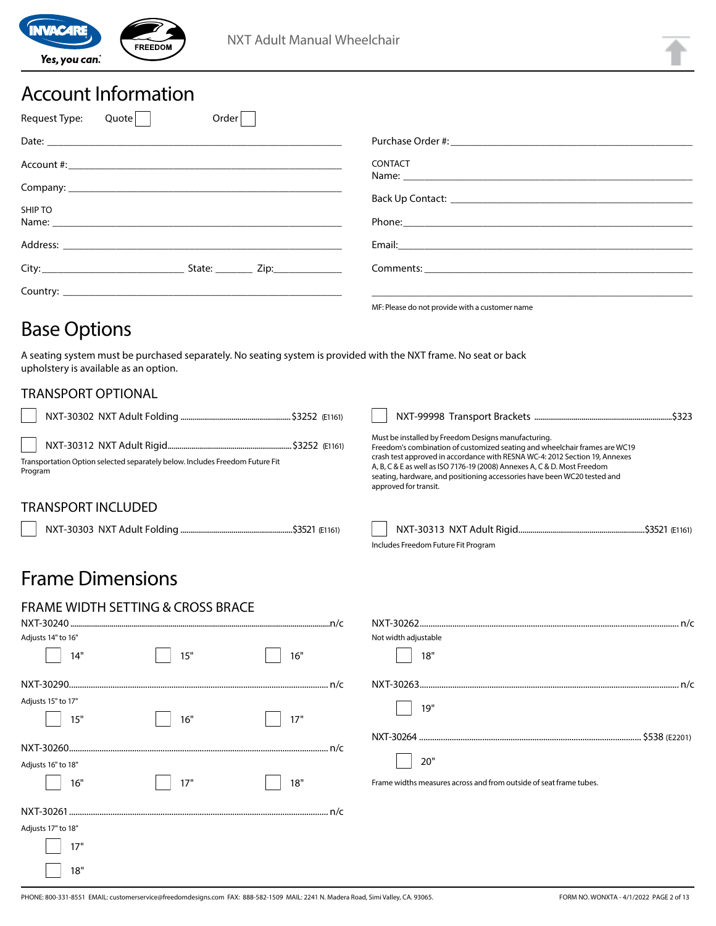

### Account Information

| Request Type:<br>Order<br>Quote                                                                                                                                                                                                          |                                                                                                                        |
|------------------------------------------------------------------------------------------------------------------------------------------------------------------------------------------------------------------------------------------|------------------------------------------------------------------------------------------------------------------------|
|                                                                                                                                                                                                                                          |                                                                                                                        |
|                                                                                                                                                                                                                                          | <b>CONTACT</b>                                                                                                         |
|                                                                                                                                                                                                                                          |                                                                                                                        |
| SHIP TO<br>Name: Name: Name: Name: Name: Name: Name: Name: Name: Name: Name: Name: Name: Name: Name: Name: Name: Name: Name: Name: Name: Name: Name: Name: Name: Name: Name: Name: Name: Name: Name: Name: Name: Name: Name: Name: Name: |                                                                                                                        |
|                                                                                                                                                                                                                                          | Email: <u>Alexander Alexander Alexander Alexander Alexander Alexander Alexander Alexander Alexander Alexander Alex</u> |
| State: $\frac{1}{\sqrt{2}}$ Zip:                                                                                                                                                                                                         |                                                                                                                        |
|                                                                                                                                                                                                                                          |                                                                                                                        |
|                                                                                                                                                                                                                                          | MF: Please do not provide with a customer name                                                                         |

### Base Options

A seating system must be purchased separately. No seating system is provided with the NXT frame. No seat or back upholstery is available as an option.

### TRANSPORT OPTIONAL

| Transportation Option selected separately below. Includes Freedom Future Fit<br>Program | Must be installed by Freedom Designs manufacturing.<br>Freedom's combination of customized seating and wheelchair frames are WC19<br>crash test approved in accordance with RESNA WC-4: 2012 Section 19, Annexes<br>A, B, C & E as well as ISO 7176-19 (2008) Annexes A, C & D. Most Freedom<br>seating, hardware, and positioning accessories have been WC20 tested and<br>approved for transit. |
|-----------------------------------------------------------------------------------------|---------------------------------------------------------------------------------------------------------------------------------------------------------------------------------------------------------------------------------------------------------------------------------------------------------------------------------------------------------------------------------------------------|
| TRANSPORT INCLUDED                                                                      |                                                                                                                                                                                                                                                                                                                                                                                                   |

NXT-30303 NXT Adult Folding .........................................................\$3521 (E1161) NXT-30313 NXT Adult Rigid................................................................\$3521 (E1161)

Includes Freedom Future Fit Program

### Frame Dimensions

| <b>FRAME WIDTH SETTING &amp; CROSS BRACE</b> |     |     |                                                                    |
|----------------------------------------------|-----|-----|--------------------------------------------------------------------|
|                                              |     |     |                                                                    |
| Adjusts 14" to 16"                           |     |     | Not width adjustable                                               |
| 14"                                          | 15" | 16" | 18"                                                                |
|                                              |     |     |                                                                    |
| Adjusts 15" to 17"                           |     |     | 19"                                                                |
| 15"                                          | 16" | 17" |                                                                    |
|                                              |     |     |                                                                    |
|                                              |     |     |                                                                    |
| Adjusts 16" to 18"                           |     |     | 20"                                                                |
| 16"                                          | 17" | 18" | Frame widths measures across and from outside of seat frame tubes. |
|                                              |     |     |                                                                    |
| Adjusts 17" to 18"                           |     |     |                                                                    |
| 17"                                          |     |     |                                                                    |
| 18"                                          |     |     |                                                                    |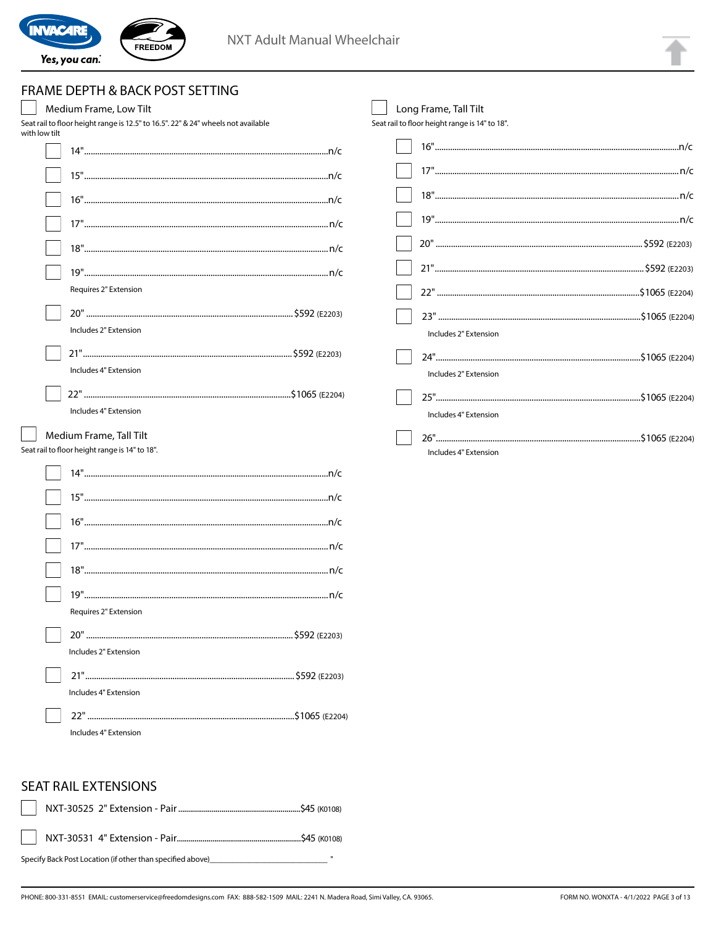

### FRAME DEPTH & BACK POST SETTING

| Medium Frame, Low Tilt                                                                             | Long Frame, Tall Tilt                  |
|----------------------------------------------------------------------------------------------------|----------------------------------------|
| Seat rail to floor height range is 12.5" to 16.5". 22" & 24" wheels not available<br>with low tilt | Seat rail to floor height range is 14' |
|                                                                                                    | 16"                                    |
|                                                                                                    | 17"                                    |
|                                                                                                    | 18"                                    |
|                                                                                                    | 19"                                    |
|                                                                                                    | 20"                                    |
|                                                                                                    | 21"                                    |
| Requires 2" Extension                                                                              | 22"                                    |
|                                                                                                    | 23"                                    |
| Includes 2" Extension                                                                              | Includes 2" Exten                      |
|                                                                                                    | 24"                                    |
| Includes 4" Extension                                                                              | Includes 2" Exten                      |
|                                                                                                    | 25"                                    |
| Includes 4" Extension                                                                              | Includes 4" Exten                      |
| Medium Frame, Tall Tilt<br>Seat rail to floor height range is 14" to 18".                          | 26"                                    |
|                                                                                                    | Includes 4" Exten                      |
|                                                                                                    |                                        |
|                                                                                                    |                                        |
|                                                                                                    |                                        |
|                                                                                                    |                                        |
|                                                                                                    |                                        |
|                                                                                                    |                                        |
| Requires 2" Extension                                                                              |                                        |
|                                                                                                    |                                        |
| Includes 2" Extension                                                                              |                                        |
|                                                                                                    |                                        |
| Includes 4" Extension                                                                              |                                        |
|                                                                                                    |                                        |
| Includes 4" Extension                                                                              |                                        |

| Includes 2" Extension |
|-----------------------|
|                       |
| Includes 2" Extension |
|                       |
| Includes 4" Extension |
| Includes 4" Extension |

#### **SEAT RAIL EXTENSIONS**

| Specify Back Post Location (if other than specified above) when the control of the control of the control of t | $\mathbf{u}$ |
|----------------------------------------------------------------------------------------------------------------|--------------|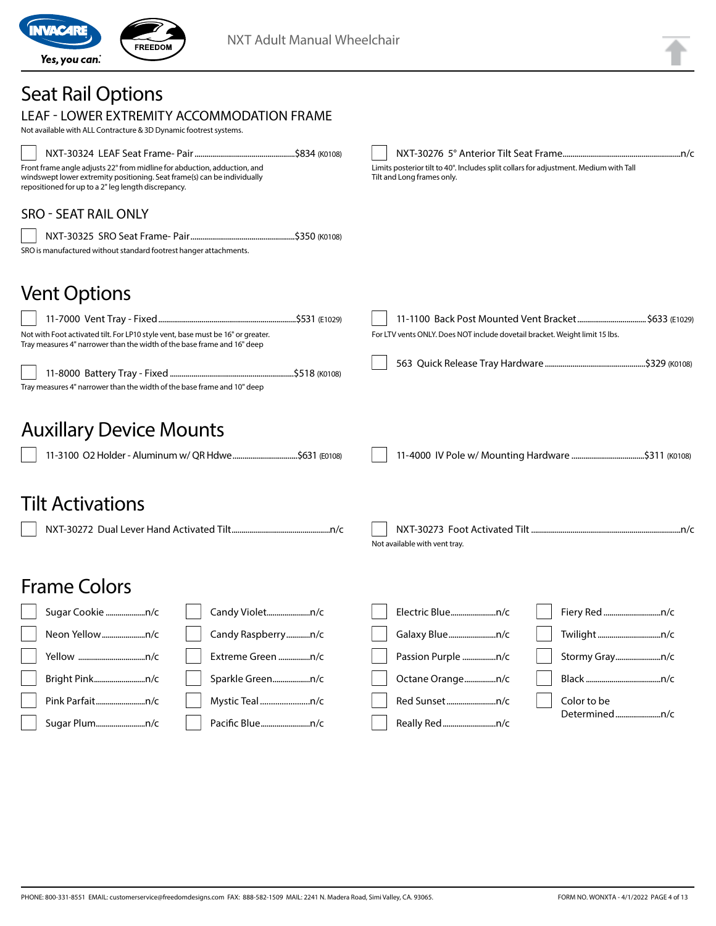

# Seat Rail Options

| LEAF - LOWER EXTREMITY ACCOMMODATION FRAME<br>Not available with ALL Contracture & 3D Dynamic footrest systems.                                                                                                                                              |                                                                                                                     |
|--------------------------------------------------------------------------------------------------------------------------------------------------------------------------------------------------------------------------------------------------------------|---------------------------------------------------------------------------------------------------------------------|
| Front frame angle adjusts 22° from midline for abduction, adduction, and<br>windswept lower extremity positioning. Seat frame(s) can be individually<br>repositioned for up to a 2" leg length discrepancy.                                                  | Limits posterior tilt to 40°. Includes split collars for adjustment. Medium with Tall<br>Tilt and Long frames only. |
| <b>SRO - SEAT RAIL ONLY</b>                                                                                                                                                                                                                                  |                                                                                                                     |
| SRO is manufactured without standard footrest hanger attachments.                                                                                                                                                                                            |                                                                                                                     |
| <b>Vent Options</b><br>Not with Foot activated tilt. For LP10 style vent, base must be 16" or greater.<br>Tray measures 4" narrower than the width of the base frame and 16" deep<br>Tray measures 4" narrower than the width of the base frame and 10" deep | For LTV vents ONLY. Does NOT include dovetail bracket. Weight limit 15 lbs.                                         |
| <b>Auxillary Device Mounts</b><br>11-3100 O2 Holder - Aluminum w/ QR Hdwe \$631 (E0108)                                                                                                                                                                      |                                                                                                                     |
| <b>Tilt Activations</b>                                                                                                                                                                                                                                      | Not available with vent tray.                                                                                       |
| <b>Frame Colors</b>                                                                                                                                                                                                                                          |                                                                                                                     |
| Sugar Cookie n/c<br>Candy Violetn/c                                                                                                                                                                                                                          | Electric Bluen/c                                                                                                    |
| Candy Raspberryn/c<br>Neon Yellown/c                                                                                                                                                                                                                         | Galaxy Bluen/c                                                                                                      |
| Extreme Green n/c                                                                                                                                                                                                                                            | Stormy Grayn/c                                                                                                      |
| Bright Pinkn/c<br>Sparkle Greenn/c                                                                                                                                                                                                                           | Octane Orangen/c                                                                                                    |
| Pink Parfaitn/c<br>Mystic Tealn/c                                                                                                                                                                                                                            | Red Sunsetn/c<br>Color to be<br>Determinedn/c                                                                       |
| Sugar Plumn/c                                                                                                                                                                                                                                                |                                                                                                                     |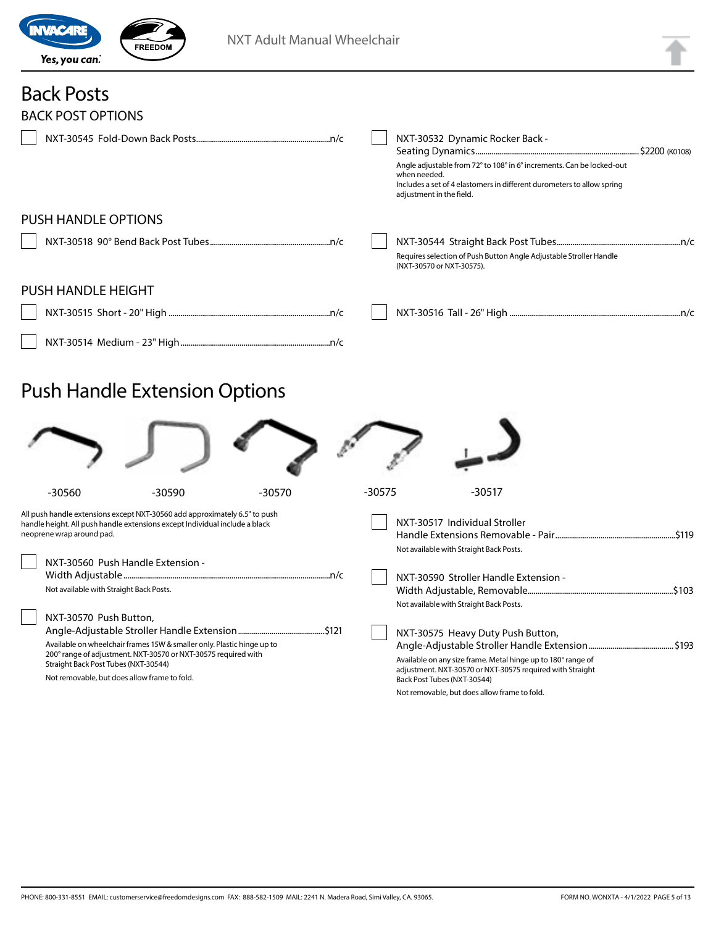

# Back Posts

| <b>BACK POST OPTIONS</b>   |                                                                                                                                                                                                                                |
|----------------------------|--------------------------------------------------------------------------------------------------------------------------------------------------------------------------------------------------------------------------------|
|                            | NXT-30532 Dynamic Rocker Back -<br>Angle adjustable from 72° to 108° in 6° increments. Can be locked-out<br>when needed.<br>Includes a set of 4 elastomers in different durometers to allow spring<br>adjustment in the field. |
| <b>PUSH HANDLE OPTIONS</b> |                                                                                                                                                                                                                                |
|                            | Requires selection of Push Button Angle Adjustable Stroller Handle<br>(NXT-30570 or NXT-30575).                                                                                                                                |
| <b>PUSH HANDLE HEIGHT</b>  |                                                                                                                                                                                                                                |
|                            |                                                                                                                                                                                                                                |
|                            |                                                                                                                                                                                                                                |

# Push Handle Extension Options

| $-30560$                                                                                                                            | $-30590$                                                                                                                                                  | $-30570$ | $-30575$ |                                                                                                                     | $-30517$                                                                                                                                                       |  |
|-------------------------------------------------------------------------------------------------------------------------------------|-----------------------------------------------------------------------------------------------------------------------------------------------------------|----------|----------|---------------------------------------------------------------------------------------------------------------------|----------------------------------------------------------------------------------------------------------------------------------------------------------------|--|
| neoprene wrap around pad.<br>NXT-30560 Push Handle Extension -<br>Not available with Straight Back Posts.<br>NXT-30570 Push Button, | All push handle extensions except NXT-30560 add approximately 6.5" to push<br>handle height. All push handle extensions except Individual include a black |          |          | NXT-30517 Individual Stroller<br>Not available with Straight Back Posts.<br>Not available with Straight Back Posts. | NXT-30590 Stroller Handle Extension -                                                                                                                          |  |
| Straight Back Post Tubes (NXT-30544)<br>Not removable, but does allow frame to fold.                                                | Available on wheelchair frames 15W & smaller only. Plastic hinge up to<br>200° range of adjustment. NXT-30570 or NXT-30575 required with                  |          |          | Back Post Tubes (NXT-30544)<br>Not removable, but does allow frame to fold.                                         | NXT-30575 Heavy Duty Push Button,<br>Available on any size frame. Metal hinge up to 180° range of<br>adjustment. NXT-30570 or NXT-30575 required with Straight |  |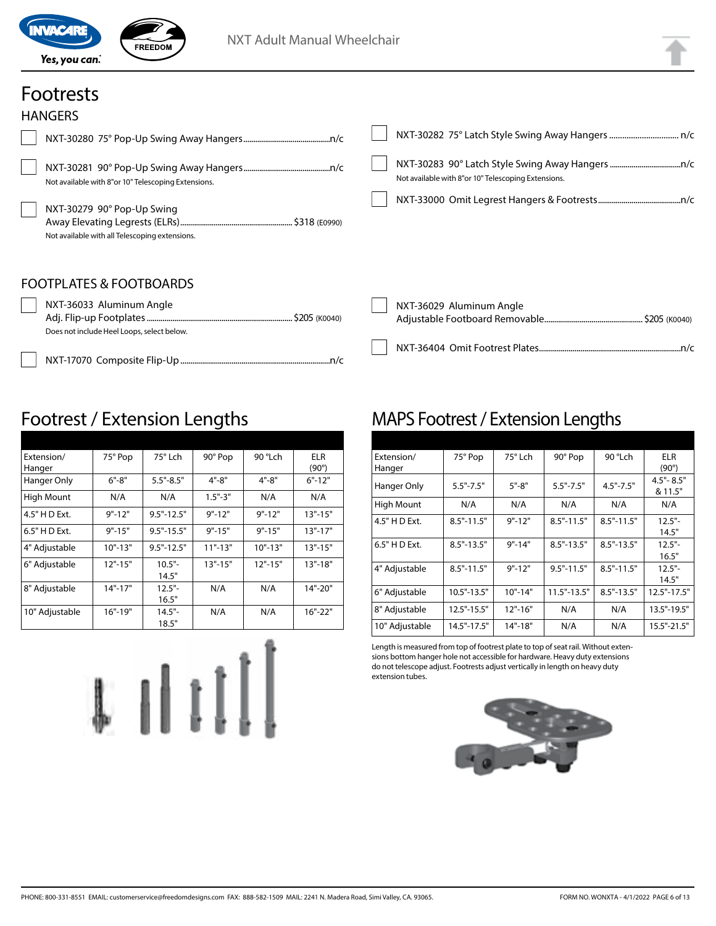

### Footrests

| <b>HANGERS</b>                                                                                                                      |                                                     |
|-------------------------------------------------------------------------------------------------------------------------------------|-----------------------------------------------------|
|                                                                                                                                     |                                                     |
| Not available with 8"or 10" Telescoping Extensions.<br>NXT-30279 90° Pop-Up Swing<br>Not available with all Telescoping extensions. | Not available with 8"or 10" Telescoping Extensions. |
| <b>FOOTPLATES &amp; FOOTBOARDS</b><br>NXT-36033 Aluminum Angle<br>Does not include Heel Loops, select below.                        | NXT-36029 Aluminum Angle                            |
|                                                                                                                                     |                                                     |

### Footrest / Extension Lengths

| Extension/     | 75° Pop     | $75^\circ$ Lch | 90° Pop     | 90 °Lch     | ELR          |
|----------------|-------------|----------------|-------------|-------------|--------------|
| Hanger         |             |                |             |             | $(90^\circ)$ |
| Hanger Only    | $6" - 8"$   | $5.5" - 8.5"$  | 4"-8"       | $4" - 8"$   | $6" - 12"$   |
| High Mount     | N/A         | N/A            | $1.5" - 3"$ | N/A         | N/A          |
| 4.5" H D Ext.  | $9" - 12"$  | $9.5" - 12.5"$ | $9" - 12"$  | $9" - 12"$  | $13" - 15"$  |
| 6.5" H D Ext.  | $9" - 15"$  | $9.5" - 15.5"$ | $9" - 15"$  | $9" - 15"$  | $13" - 17"$  |
| 4" Adjustable  | $10" - 13"$ | $9.5" - 12.5"$ | $11" - 13"$ | $10" - 13"$ | $13" - 15"$  |
| 6" Adjustable  | $12" - 15"$ | $10.5"$ -      | $13" - 15"$ | $12" - 15"$ | $13" - 18"$  |
|                |             | 14.5"          |             |             |              |
| 8" Adjustable  | $14" - 17"$ | $12.5"$ -      | N/A         | N/A         | 14"-20"      |
|                |             | 16.5"          |             |             |              |
| 10" Adjustable | $16" - 19"$ | $14.5" -$      | N/A         | N/A         | $16" - 22"$  |
|                |             | 18.5"          |             |             |              |



### MAPS Footrest / Extension Lengths

| Extension/     | 75° Pop        | 75° Lch     | 90° Pop         | 90 °Lch        | <b>ELR</b>      |
|----------------|----------------|-------------|-----------------|----------------|-----------------|
| Hanger         |                |             |                 |                | $(90^\circ)$    |
|                | $5.5" - 7.5"$  | $5" - 8"$   | $5.5" - 7.5"$   | $4.5" - 7.5"$  | $4.5" - 8.5"$   |
| Hanger Only    |                |             |                 |                | & 11.5"         |
| High Mount     | N/A            | N/A         | N/A             | N/A            | N/A             |
| 4.5" H D Ext.  | $8.5" - 11.5"$ | $9" - 12"$  | $8.5" - 11.5"$  | $8.5" - 11.5"$ | $12.5"$ -       |
|                |                |             |                 |                | 14.5"           |
| 6.5" H D Ext.  | $8.5" - 13.5"$ | $9" - 14"$  | $8.5" - 13.5"$  | $8.5" - 13.5"$ | $12.5"$ -       |
|                |                |             |                 |                | 16.5"           |
| 4" Adjustable  | $8.5" - 11.5"$ | $9" - 12"$  | $9.5" - 11.5"$  | $8.5" - 11.5"$ | $12.5"$ -       |
|                |                |             |                 |                | 14.5"           |
| 6" Adjustable  | 10.5"-13.5"    | $10" - 14"$ | $11.5" - 13.5"$ | $8.5" - 13.5"$ | $12.5" - 17.5"$ |
| 8" Adjustable  | 12.5"-15.5"    | $12" - 16"$ | N/A             | N/A            | 13.5"-19.5"     |
| 10" Adjustable | 14.5"-17.5"    | $14" - 18"$ | N/A             | N/A            | 15.5"-21.5"     |

Length is measured from top of footrest plate to top of seat rail. Without extensions bottom hanger hole not accessible for hardware. Heavy duty extensions do not telescope adjust. Footrests adjust vertically in length on heavy duty extension tubes.

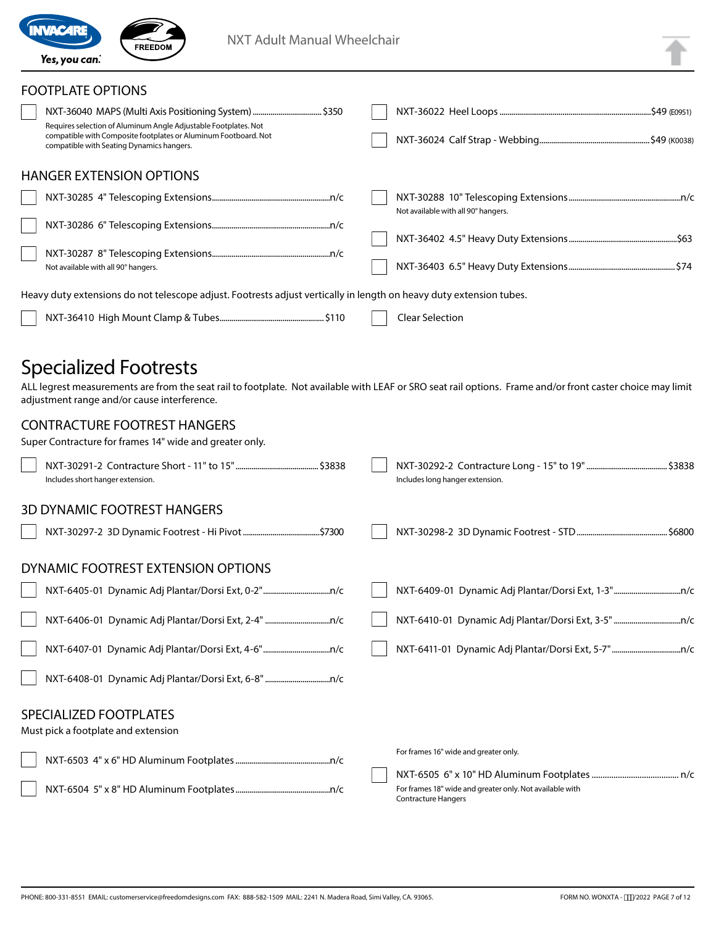

| ١, | 4 |  |
|----|---|--|
|    |   |  |
|    |   |  |
|    |   |  |
|    |   |  |
|    |   |  |

#### FOOTPLATE OPTIONS

| Requires selection of Aluminum Angle Adjustable Footplates. Not<br>compatible with Composite footplates or Aluminum Footboard. Not<br>compatible with Seating Dynamics hangers. |                                                                                                                     |                                     |
|---------------------------------------------------------------------------------------------------------------------------------------------------------------------------------|---------------------------------------------------------------------------------------------------------------------|-------------------------------------|
|                                                                                                                                                                                 | <b>HANGER EXTENSION OPTIONS</b>                                                                                     |                                     |
|                                                                                                                                                                                 |                                                                                                                     | Not available with all 90° hangers. |
|                                                                                                                                                                                 |                                                                                                                     |                                     |
|                                                                                                                                                                                 | Not available with all 90° hangers.                                                                                 |                                     |
|                                                                                                                                                                                 | Heavy duty extensions do not telescope adjust. Footrests adjust vertically in length on heavy duty extension tubes. |                                     |
|                                                                                                                                                                                 |                                                                                                                     | <b>Clear Selection</b>              |

### Specialized Footrests

ALL legrest measurements are from the seat rail to footplate. Not available with LEAF or SRO seat rail options. Frame and/or front caster choice may limit adjustment range and/or cause interference.

#### CONTRACTURE FOOTREST HANGERS

| Super Contracture for frames 14" wide and greater only. |  |
|---------------------------------------------------------|--|
|---------------------------------------------------------|--|

| Includes short hanger extension.                              | Includes long hanger extension.                                                        |
|---------------------------------------------------------------|----------------------------------------------------------------------------------------|
| <b>3D DYNAMIC FOOTREST HANGERS</b>                            |                                                                                        |
| DYNAMIC FOOTREST EXTENSION OPTIONS                            |                                                                                        |
|                                                               |                                                                                        |
|                                                               |                                                                                        |
|                                                               |                                                                                        |
|                                                               |                                                                                        |
| SPECIALIZED FOOTPLATES<br>Must pick a footplate and extension |                                                                                        |
|                                                               | For frames 16" wide and greater only.                                                  |
|                                                               |                                                                                        |
|                                                               | For frames 18" wide and greater only. Not available with<br><b>Contracture Hangers</b> |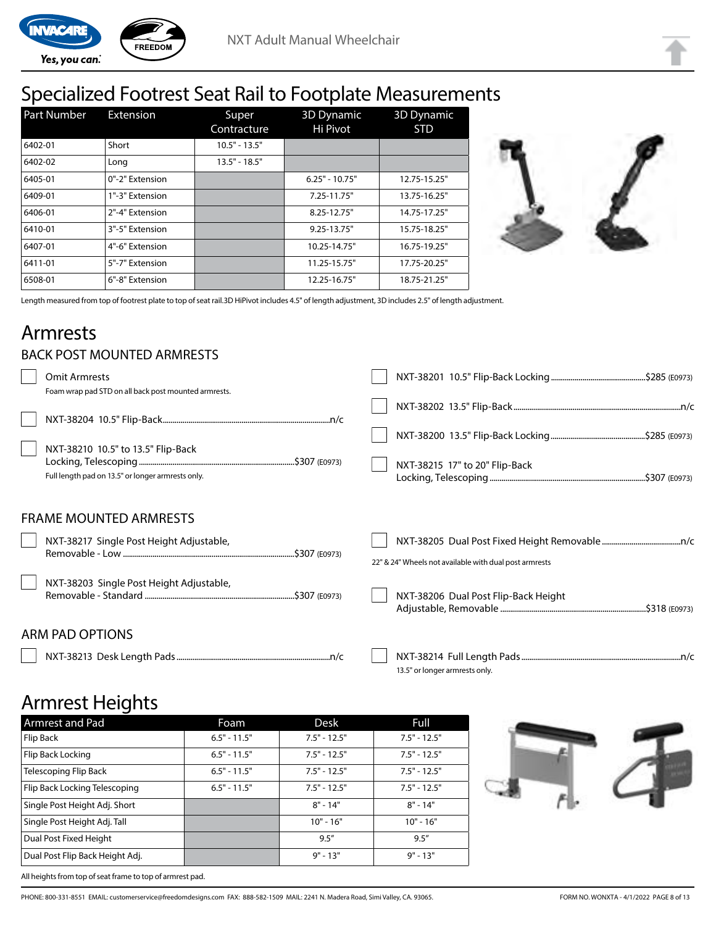

# Specialized Footrest Seat Rail to Footplate Measurements

| Part Number | <b>Extension</b> | Super<br>Contracture | <b>3D Dynamic</b><br>Hi Pivot | 3D Dynamic<br><b>STD</b> |
|-------------|------------------|----------------------|-------------------------------|--------------------------|
| 6402-01     | Short            | $10.5" - 13.5"$      |                               |                          |
| 6402-02     | Long             | $13.5" - 18.5"$      |                               |                          |
| 6405-01     | 0"-2" Extension  |                      | $6.25" - 10.75"$              | 12.75-15.25"             |
| 6409-01     | 1"-3" Extension  |                      | 7.25-11.75"                   | 13.75-16.25"             |
| 6406-01     | 2"-4" Extension  |                      | 8.25-12.75"                   | 14.75-17.25"             |
| 6410-01     | 3"-5" Extension  |                      | $9.25 - 13.75"$               | 15.75-18.25"             |
| 6407-01     | 4"-6" Extension  |                      | 10.25-14.75"                  | 16.75-19.25"             |
| 6411-01     | 5"-7" Extension  |                      | 11.25-15.75"                  | 17.75-20.25"             |
| 6508-01     | 6"-8" Extension  |                      | 12.25-16.75"                  | 18.75-21.25"             |



Length measured from top of footrest plate to top of seat rail.3D HiPivot includes 4.5" of length adjustment, 3D includes 2.5" of length adjustment.

### Armrests

#### BACK POST MOUNTED ARMRESTS

| <b>Omit Armrests</b>                                                                                                                            |                                                        |
|-------------------------------------------------------------------------------------------------------------------------------------------------|--------------------------------------------------------|
| Foam wrap pad STD on all back post mounted armrests.<br>NXT-38210 10.5" to 13.5" Flip-Back<br>Full length pad on 13.5" or longer armrests only. | NXT-38215 17" to 20" Flip-Back                         |
| <b>FRAME MOUNTED ARMRESTS</b>                                                                                                                   |                                                        |
| NXT-38217 Single Post Height Adjustable,                                                                                                        | 22" & 24" Wheels not available with dual post armrests |
| NXT-38203 Single Post Height Adjustable,                                                                                                        | NXT-38206 Dual Post Flip-Back Height                   |
| <b>ARM PAD OPTIONS</b>                                                                                                                          |                                                        |

NXT-38213 Desk Length Pads..............................................................................n/c NXT-38214 Full Length Pads.................................................................................n/c 13.5" or longer armrests only.

### Armrest Heights

All heights from top of seat frame to top of armrest pad.

| <b>Armrest and Pad</b>          | Foam           | <b>Desk</b>    | Full           |
|---------------------------------|----------------|----------------|----------------|
| Flip Back                       | $6.5" - 11.5"$ | $7.5" - 12.5"$ | $7.5" - 12.5"$ |
| Flip Back Locking               | $6.5" - 11.5"$ | $7.5" - 12.5"$ | $7.5" - 12.5"$ |
| Telescoping Flip Back           | $6.5" - 11.5"$ | $7.5" - 12.5"$ | $7.5" - 12.5"$ |
| Flip Back Locking Telescoping   | $6.5" - 11.5"$ | $7.5" - 12.5"$ | $7.5" - 12.5"$ |
| Single Post Height Adj. Short   |                | $8" - 14"$     | $8" - 14"$     |
| Single Post Height Adj. Tall    |                | $10" - 16"$    | $10" - 16"$    |
| Dual Post Fixed Height          |                | 9.5''          | 9.5''          |
| Dual Post Flip Back Height Adj. |                | $9" - 13"$     | $9" - 13"$     |



PHONE: 800-331-8551 EMAIL: customerservice@freedomdesigns.com FAX: 888-582-1509 MAIL: 2241 N. Madera Road, Simi Valley, CA. 93065. FORM NO. WONXTA - 4/1/2022 PAGE 8 of 13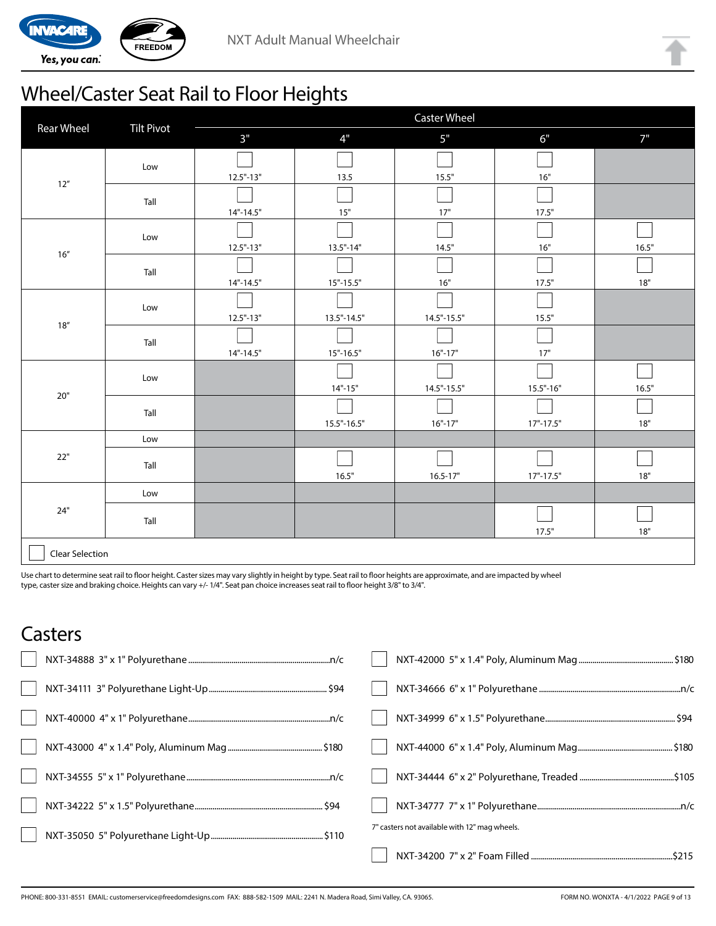

# Wheel/Caster Seat Rail to Floor Heights

|                        |                   | <b>Caster Wheel</b> |                 |                 |               |       |
|------------------------|-------------------|---------------------|-----------------|-----------------|---------------|-------|
| <b>Rear Wheel</b>      | <b>Tilt Pivot</b> | 3"                  | 4"              | 5"              | 6"            | 7"    |
|                        | Low               |                     |                 |                 |               |       |
| $12''$                 |                   | $12.5" - 13"$       | 13.5            | 15.5"           | 16"           |       |
|                        | Tall              |                     |                 |                 |               |       |
|                        |                   | $14" - 14.5"$       | $15"$           | 17"             | 17.5"         |       |
|                        | Low               |                     |                 |                 |               |       |
| 16''                   |                   | $12.5" - 13"$       | $13.5" - 14"$   | 14.5"           | 16"           | 16.5" |
|                        | Tall              |                     |                 |                 |               |       |
|                        |                   | $14" - 14.5"$       | $15" - 15.5"$   | 16"             | 17.5"         | $18"$ |
|                        | Low               |                     |                 |                 |               |       |
| 18''                   |                   | $12.5" - 13"$       | $13.5" - 14.5"$ | $14.5" - 15.5"$ | 15.5"         |       |
|                        | Tall              |                     |                 |                 |               |       |
|                        |                   | $14" - 14.5"$       | $15" - 16.5"$   | $16" - 17"$     | 17"           |       |
|                        | Low               |                     |                 |                 |               |       |
| $20"$                  |                   |                     | $14" - 15"$     | $14.5" - 15.5"$ | $15.5 - 16$   | 16.5" |
|                        | Tall              |                     |                 |                 |               |       |
|                        |                   |                     | $15.5" - 16.5"$ | $16" - 17"$     | $17" - 17.5"$ | $18"$ |
|                        | Low               |                     |                 |                 |               |       |
| 22"                    | Tall              |                     |                 |                 |               |       |
|                        |                   |                     | 16.5"           | $16.5 - 17"$    | $17" - 17.5"$ | 18"   |
|                        | Low               |                     |                 |                 |               |       |
| 24"                    | Tall              |                     |                 |                 |               |       |
|                        |                   |                     |                 |                 | 17.5"         | $18"$ |
| <b>Clear Selection</b> |                   |                     |                 |                 |               |       |

Use chart to determine seat rail to floor height. Caster sizes may vary slightly in height by type. Seat rail to floor heights are approximate, and are impacted by wheel type, caster size and braking choice. Heights can vary +/- 1/4". Seat pan choice increases seat rail to floor height 3/8" to 3/4".

### **Casters**

| 7" casters not available with 12" mag wheels. |
|-----------------------------------------------|
|                                               |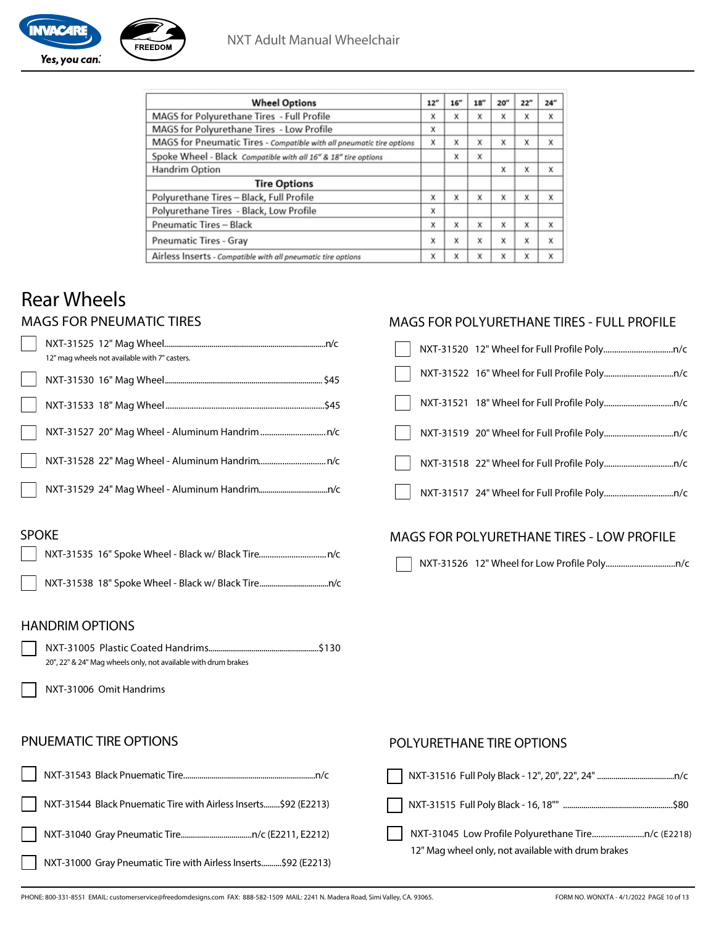| <b>Wheel Options</b>                                                  | 12" | 16" | 18" | 20'' | 22" | 24" |
|-----------------------------------------------------------------------|-----|-----|-----|------|-----|-----|
| MAGS for Polyurethane Tires - Full Profile                            | X   | x   | x   | x    | X   | x   |
| MAGS for Polyurethane Tires - Low Profile                             | X   |     |     |      |     |     |
| MAGS for Pneumatic Tires - Compatible with all pneumatic tire options | X   | X   | X   | X    | X   | X   |
| Spoke Wheel - Black Compatible with all 16" & 18" tire options        |     | X   | x   |      |     |     |
| Handrim Option                                                        |     |     |     | X    | X   | X   |
| <b>Tire Options</b>                                                   |     |     |     |      |     |     |
| Polyurethane Tires - Black, Full Profile                              | X   | X   | X   | x    | X   | X   |
| Polyurethane Tires - Black, Low Profile                               | x   |     |     |      |     |     |
| <b>Pneumatic Tires - Black</b>                                        | x   | X   | x   | X    | X   | X   |
| <b>Pneumatic Tires - Gray</b>                                         | X   | X   | x   | X    | X   | x   |
| Airless Inserts - Compatible with all pneumatic tire options          | x   | X   | X   | x    | X   | X   |

## Rear Wheels

#### MAGS FOR PNEUMATIC TIRES

| 12" mag wheels not available with 7" casters. |
|-----------------------------------------------|
|                                               |
|                                               |
|                                               |
|                                               |
|                                               |

### MAGS FOR POLYURETHANE TIRES - FULL PROFILE

#### MAGS FOR POLYURETHANE TIRES - LOW PROFILE

NXT-31526 12" Wheel for Low Profile Poly................................n/c

#### HANDRIM OPTIONS

SPOKE



NXT-31535 16" Spoke Wheel - Black w/ Black Tire ...............................n/c

NXT-31538 18" Spoke Wheel - Black w/ Black Tire...................................n/c

NXT-31006 Omit Handrims

#### PNUEMATIC TIRE OPTIONS

#### NXT-31045 Low Profile Polyurethane Tire........................n/c (E2218) 12" Mag wheel only, not available with drum brakes POLYURETHANE TIRE OPTIONS NXT-31516 Full Poly Black - 12", 20", 22", 24" ......................................n/c NXT-31515 Full Poly Black - 16, 18"" ......................................................\$80 NXT-31543 Black Pnuematic Tire.................................................................n/c NXT-31544 Black Pnuematic Tire with Airless Inserts........\$92 (E2213) NXT-31040 Gray Pneumatic Tire...................................n/c (E2211, E2212) NXT-31000 Gray Pneumatic Tire with Airless Inserts..........\$92 (E2213)

PHONE: 800-331-8551 EMAIL: customerservice@freedomdesigns.com FAX: 888-582-1509 MAIL: 2241 N. Madera Road, Simi Valley, CA. 93065. FORM NO. WONXTA - 4/1/2022 PAGE 10 of 13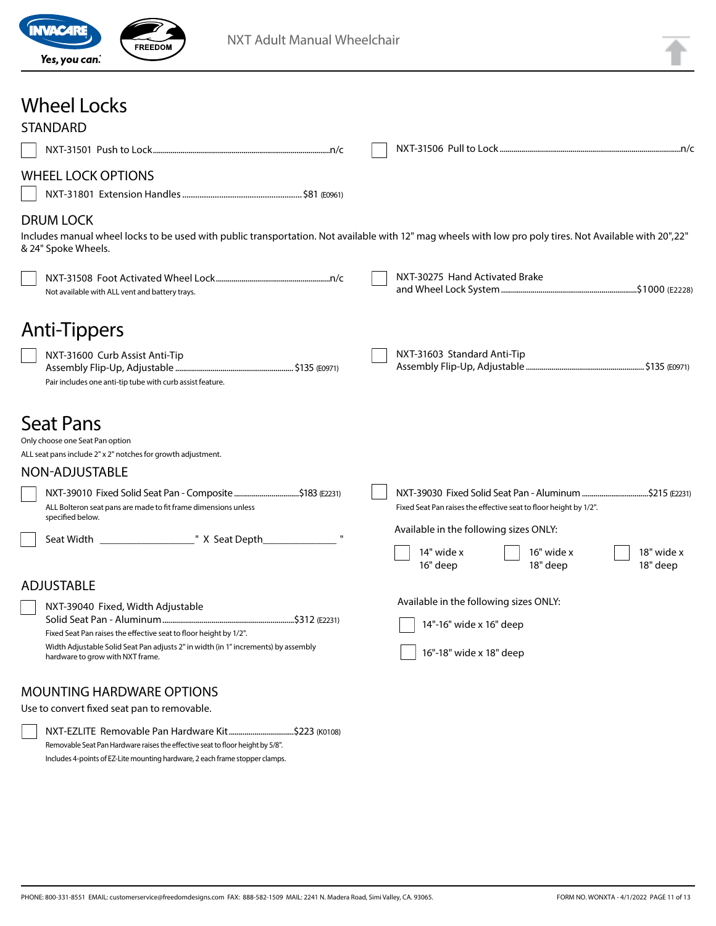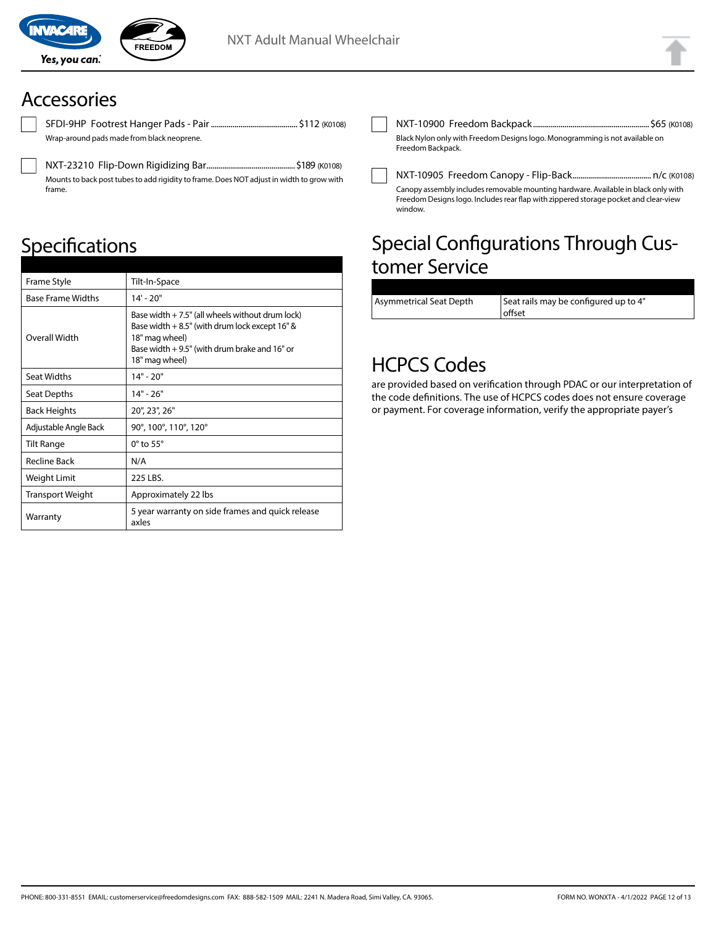

SFDI-9HP Footrest Hanger Pads - Pair ............................................ \$112 (K0108) Wrap-around pads made from black neoprene.

NXT-23210 Flip-Down Rigidizing Bar .............................................\$189 (K0108) Mounts to back post tubes to add rigidity to frame. Does NOT adjust in width to grow with frame.

# **Specifications**

| Frame Style              | Tilt-In-Space                                                                                                                                                                                  |
|--------------------------|------------------------------------------------------------------------------------------------------------------------------------------------------------------------------------------------|
| <b>Base Frame Widths</b> | $14' - 20''$                                                                                                                                                                                   |
| Overall Width            | Base width $+ 7.5$ " (all wheels without drum lock)<br>Base width $+8.5$ " (with drum lock except 16" &<br>18" mag wheel)<br>Base width $+9.5$ " (with drum brake and 16" or<br>18" mag wheel) |
| <b>Seat Widths</b>       | $14" - 20"$                                                                                                                                                                                    |
| Seat Depths              | $14" - 26"$                                                                                                                                                                                    |
| <b>Back Heights</b>      | 20", 23", 26"                                                                                                                                                                                  |
| Adjustable Angle Back    | 90°, 100°, 110°, 120°                                                                                                                                                                          |
| Tilt Range               | $0^\circ$ to 55 $^\circ$                                                                                                                                                                       |
| <b>Recline Back</b>      | N/A                                                                                                                                                                                            |
| Weight Limit             | 225 LBS.                                                                                                                                                                                       |
| <b>Transport Weight</b>  | Approximately 22 lbs                                                                                                                                                                           |
| Warranty                 | 5 year warranty on side frames and quick release<br>axles                                                                                                                                      |

NXT-10900 Freedom Backpack ...........................................................\$65 (K0108) Black Nylon only with Freedom Designs logo. Monogramming is not available on Freedom Backpack.

NXT-10905 Freedom Canopy - Flip-Back........................................ n/c (K0108) Canopy assembly includes removable mounting hardware. Available in black only with Freedom Designs logo. Includes rear flap with zippered storage pocket and clear-view window.

## Special Configurations Through Customer Service

| Asymmetrical Seat Depth | Seat rails may be configured up to 4" |
|-------------------------|---------------------------------------|
|                         | l offset                              |
|                         |                                       |

### HCPCS Codes

are provided based on verification through PDAC or our interpretation of the code definitions. The use of HCPCS codes does not ensure coverage or payment. For coverage information, verify the appropriate payer's